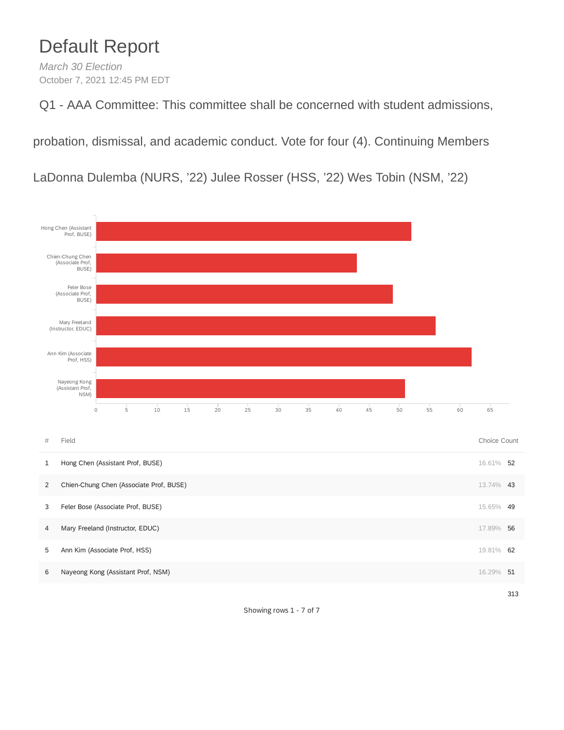## Default Report

*March 30 Election* October 7, 2021 12:45 PM EDT

Q1 - AAA Committee: This committee shall be concerned with student admissions,

probation, dismissal, and academic conduct. Vote for four (4). Continuing Members

LaDonna Dulemba (NURS, '22) Julee Rosser (HSS, '22) Wes Tobin (NSM, '22)



Showing rows 1 - 7 of 7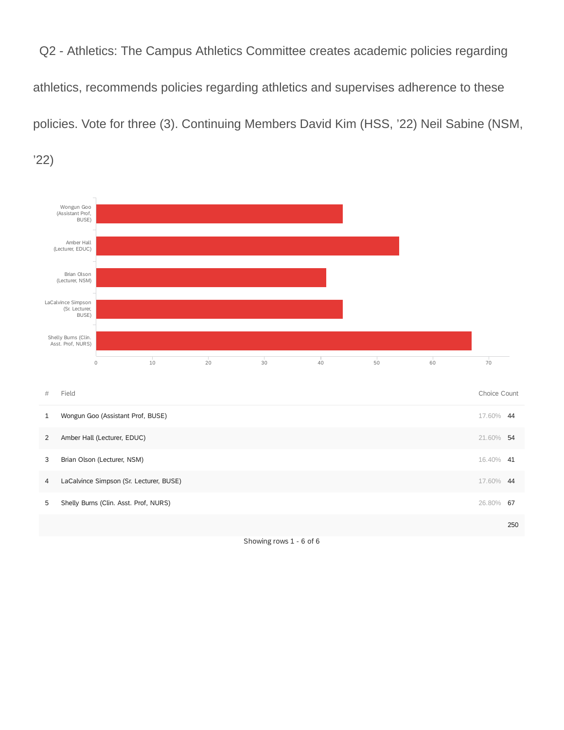Q2 - Athletics: The Campus Athletics Committee creates academic policies regarding athletics, recommends policies regarding athletics and supervises adherence to these policies. Vote for three (3). Continuing Members David Kim (HSS, '22) Neil Sabine (NSM,

'22)

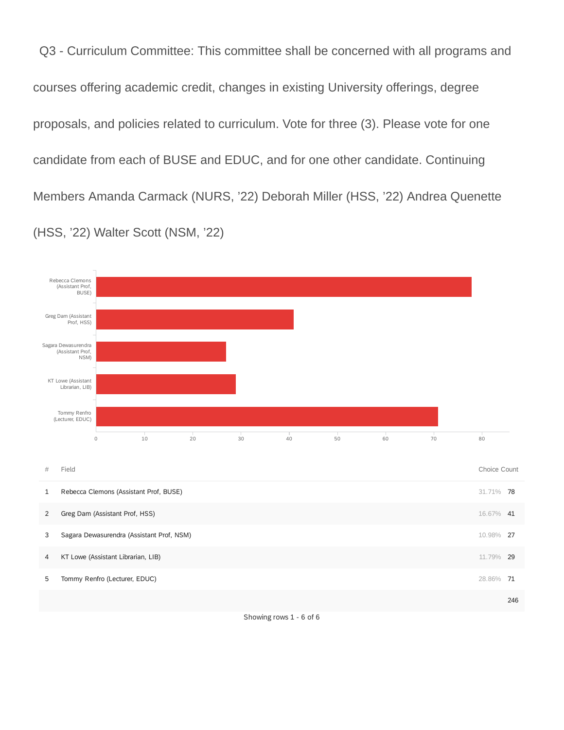Q3 - Curriculum Committee: This committee shall be concerned with all programs and courses offering academic credit, changes in existing University offerings, degree proposals, and policies related to curriculum. Vote for three (3). Please vote for one candidate from each of BUSE and EDUC, and for one other candidate. Continuing Members Amanda Carmack (NURS, '22) Deborah Miller (HSS, '22) Andrea Quenette (HSS, '22) Walter Scott (NSM, '22)

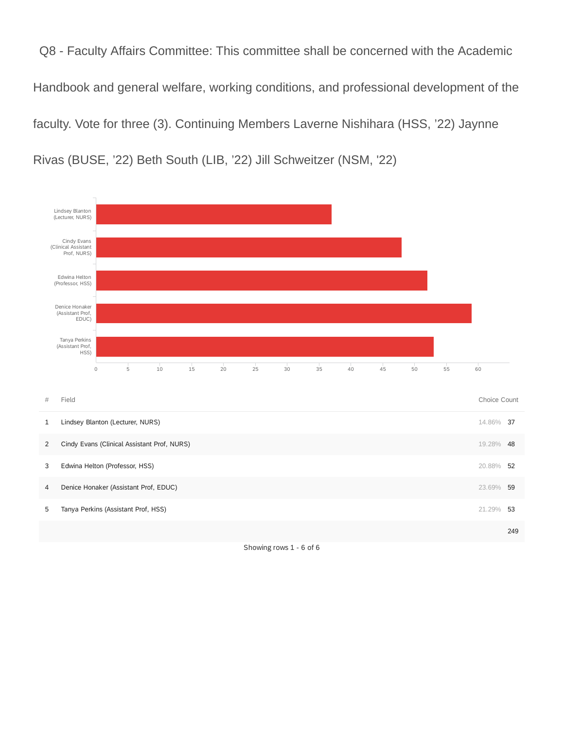Q8 - Faculty Affairs Committee: This committee shall be concerned with the Academic Handbook and general welfare, working conditions, and professional development of the faculty. Vote for three (3). Continuing Members Laverne Nishihara (HSS, '22) Jaynne Rivas (BUSE, '22) Beth South (LIB, '22) Jill Schweitzer (NSM, '22)



Showing rows 1 - 6 of 6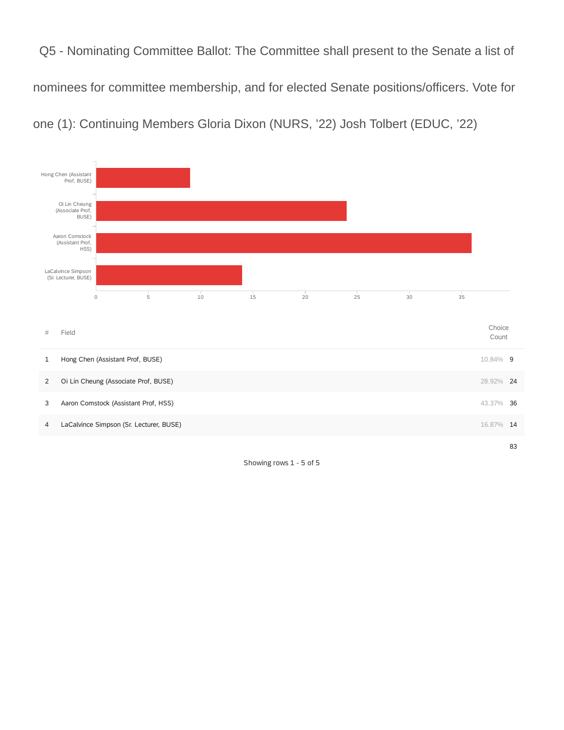Q5 - Nominating Committee Ballot: The Committee shall present to the Senate a list of nominees for committee membership, and for elected Senate positions/officers. Vote for one (1): Continuing Members Gloria Dixon (NURS, '22) Josh Tolbert (EDUC, '22)



Showing rows 1 - 5 of 5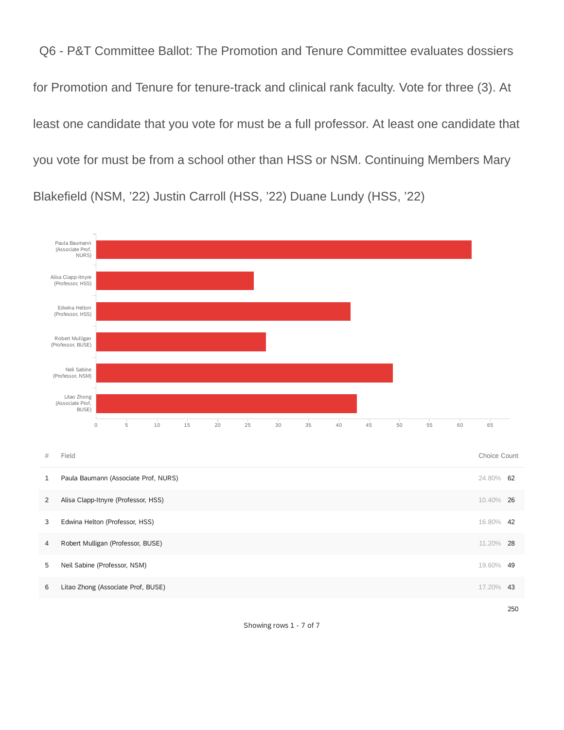Q6 - P&T Committee Ballot: The Promotion and Tenure Committee evaluates dossiers for Promotion and Tenure for tenure-track and clinical rank faculty. Vote for three (3). At least one candidate that you vote for must be a full professor. At least one candidate that you vote for must be from a school other than HSS or NSM. Continuing Members Mary Blakefield (NSM, '22) Justin Carroll (HSS, '22) Duane Lundy (HSS, '22)



Showing rows 1 - 7 of 7